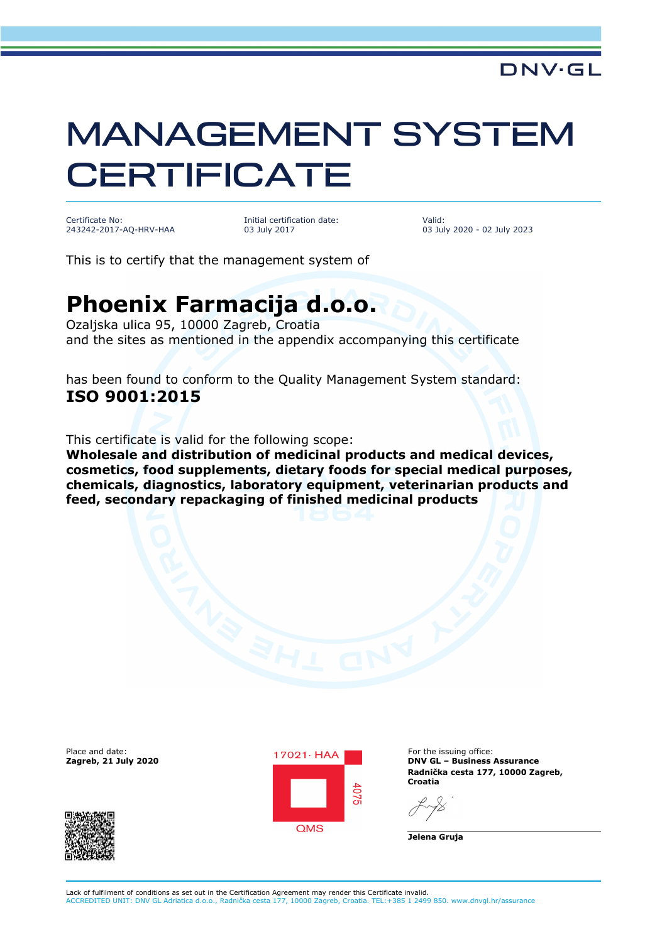## MANAGEMENT SYSTEM **CERTIFICATE**

Certificate No: 243242-2017-AQ-HRV-HAA Initial certification date: 03 July 2017

Valid: 03 July 2020 - 02 July 2023

This is to certify that the management system of

## **Phoenix Farmacija d.o.o.**

Ozaljska ulica 95, 10000 Zagreb, Croatia and the sites as mentioned in the appendix accompanying this certificate

has been found to conform to the Quality Management System standard: **ISO 9001:2015**

This certificate is valid for the following scope:

**Wholesale and distribution of medicinal products and medical devices, cosmetics, food supplements, dietary foods for special medical purposes, chemicals, diagnostics, laboratory equipment, veterinarian products and feed, secondary repackaging of finished medicinal products**





**Zagreb, 21 July 2020 DNV GL – Business Assurance Radnička cesta 177, 10000 Zagreb, Croatia**

**Jelena Gruja**